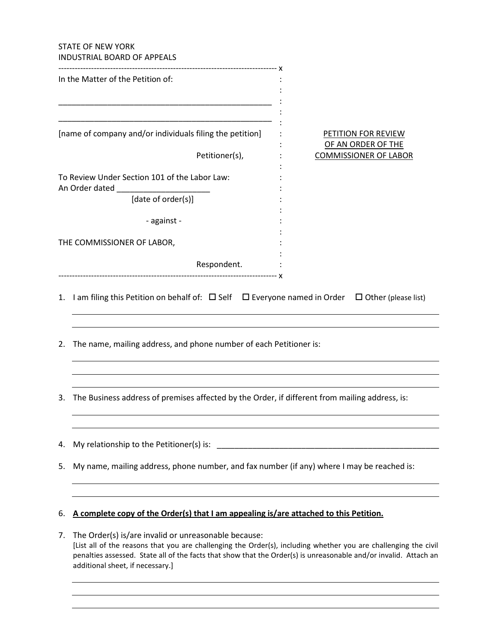## STATE OF NEW YORK INDUSTRIAL BOARD OF APPEALS

|    | INDUSTNIAL DUAND UF APPEALS                                                                                                                                                                                                                                                                 |                                                                                  |  |
|----|---------------------------------------------------------------------------------------------------------------------------------------------------------------------------------------------------------------------------------------------------------------------------------------------|----------------------------------------------------------------------------------|--|
|    | In the Matter of the Petition of:                                                                                                                                                                                                                                                           |                                                                                  |  |
|    | [name of company and/or individuals filing the petition]<br>Petitioner(s),                                                                                                                                                                                                                  | <b>PETITION FOR REVIEW</b><br>OF AN ORDER OF THE<br><b>COMMISSIONER OF LABOR</b> |  |
|    | To Review Under Section 101 of the Labor Law:<br>An Order dated                                                                                                                                                                                                                             |                                                                                  |  |
|    | [date of order(s)]                                                                                                                                                                                                                                                                          |                                                                                  |  |
|    | - against -                                                                                                                                                                                                                                                                                 |                                                                                  |  |
|    | THE COMMISSIONER OF LABOR,                                                                                                                                                                                                                                                                  |                                                                                  |  |
|    | Respondent.                                                                                                                                                                                                                                                                                 |                                                                                  |  |
|    | 1. I am filing this Petition on behalf of: $\Box$ Self $\Box$ Everyone named in Order $\Box$ Other (please list)                                                                                                                                                                            |                                                                                  |  |
| 2. | The name, mailing address, and phone number of each Petitioner is:                                                                                                                                                                                                                          |                                                                                  |  |
| 3. | The Business address of premises affected by the Order, if different from mailing address, is:                                                                                                                                                                                              |                                                                                  |  |
| 4. | My relationship to the Petitioner(s) is:                                                                                                                                                                                                                                                    |                                                                                  |  |
| 5. | My name, mailing address, phone number, and fax number (if any) where I may be reached is:                                                                                                                                                                                                  |                                                                                  |  |
| 6. | A complete copy of the Order(s) that I am appealing is/are attached to this Petition.                                                                                                                                                                                                       |                                                                                  |  |
| 7. | The Order(s) is/are invalid or unreasonable because:<br>[List all of the reasons that you are challenging the Order(s), including whether you are challenging the civil<br>penalties assessed. State all of the facts that show that the Order(s) is unreasonable and/or invalid. Attach an |                                                                                  |  |

additional sheet, if necessary.]